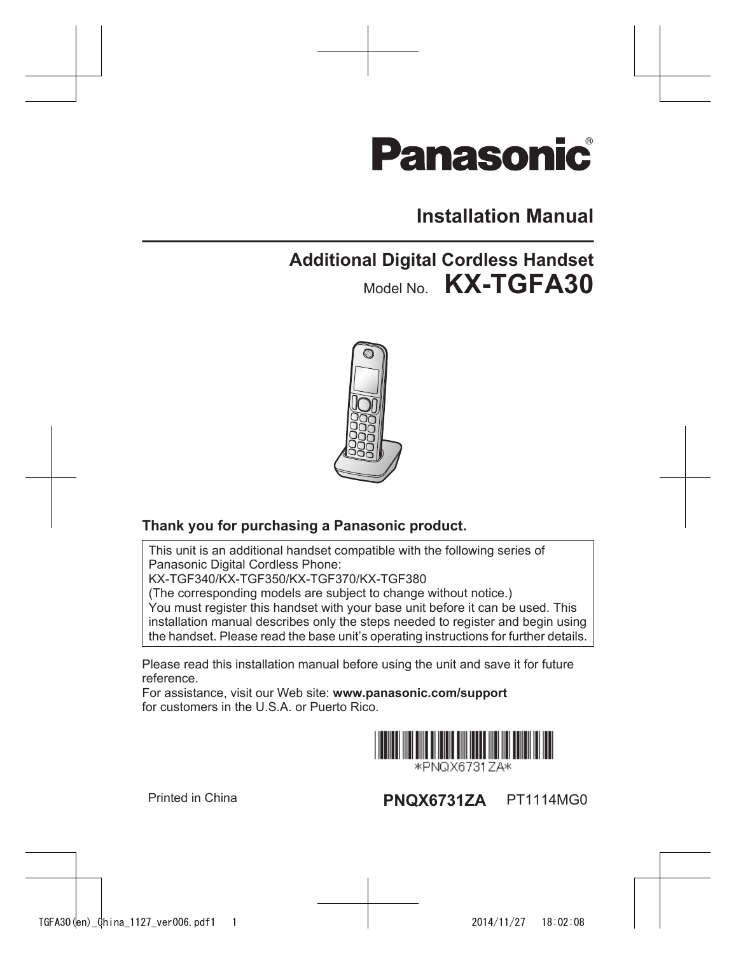# **Panasonic**

## **Installation Manual**

## **Additional Digital Cordless Handset** Model No. **KX-TGFA30**



### **Thank you for purchasing a Panasonic product.**

This unit is an additional handset compatible with the following series of Panasonic Digital Cordless Phone: KX-TGF340/KX-TGF350/KX-TGF370/KX-TGF380 (The corresponding models are subject to change without notice.) You must register this handset with your base unit before it can be used. This installation manual describes only the steps needed to register and begin using the handset. Please read the base unit's operating instructions for further details.

Please read this installation manual before using the unit and save it for future reference.

For assistance, visit our Web site: **www.panasonic.com/support** for customers in the U.S.A. or Puerto Rico.



\*PNQX6731ZA\*

Printed in China **PNQX6731ZA** PT1114MG0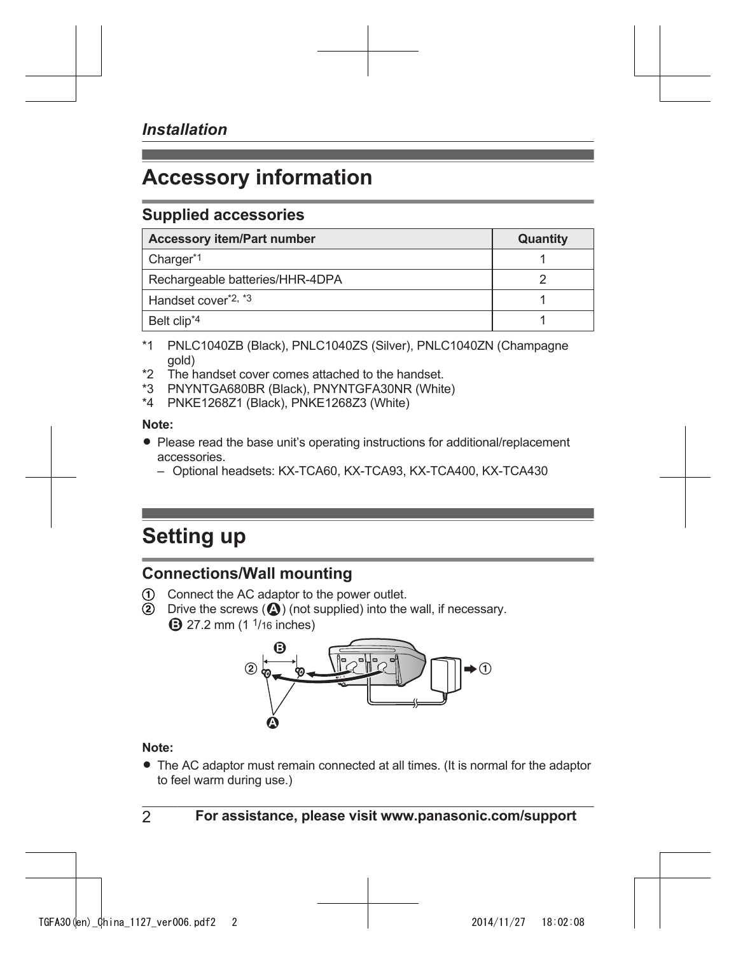## **Accessory information**

### <span id="page-1-4"></span>**Supplied accessories**

| <b>Accessory item/Part number</b> | Quantity |
|-----------------------------------|----------|
| Charger*1                         |          |
| Rechargeable batteries/HHR-4DPA   |          |
| Handset cover <sup>*2, *3</sup>   |          |
| Belt clip <sup>*4</sup>           |          |

- <span id="page-1-0"></span>\*1 PNLC1040ZB (Black), PNLC1040ZS (Silver), PNLC1040ZN (Champagne gold)
- <span id="page-1-1"></span>\*2 The handset cover comes attached to the handset.
- <span id="page-1-2"></span>\*3 PNYNTGA680BR (Black), PNYNTGFA30NR (White)
- <span id="page-1-3"></span>\*4 PNKE1268Z1 (Black), PNKE1268Z3 (White)

#### **Note:**

- Please read the base unit's operating instructions for additional/replacement accessories.
	- Optional headsets: KX-TCA60, KX-TCA93, KX-TCA400, KX-TCA430

## **Setting up**

## **Connections/Wall mounting**

- Connect the AC adaptor to the power outlet.
- Drive the screws  $(②)$  (not supplied) into the wall, if necessary. **3** 27.2 mm (1 <sup>1</sup>/16 inches)



#### **Note:**

• The AC adaptor must remain connected at all times. (It is normal for the adaptor to feel warm during use.)

2 **For assistance, please visit www.panasonic.com/support**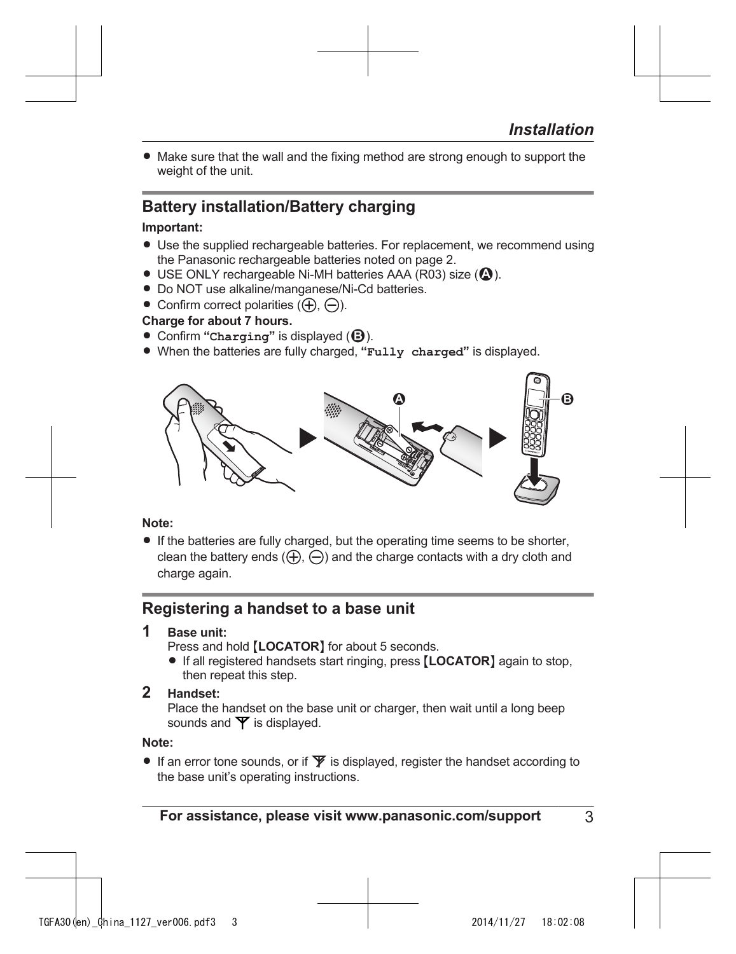• Make sure that the wall and the fixing method are strong enough to support the weight of the unit.

## **Battery installation/Battery charging**

#### **Important:**

- Use the supplied rechargeable batteries. For replacement, we recommend using the Panasonic rechargeable batteries noted on [page 2](#page-1-4).
- $\bullet$  USE ONLY rechargeable Ni-MH batteries AAA (R03) size ( $\bullet$ ).
- Do NOT use alkaline/manganese/Ni-Cd batteries.
- Confirm correct polarities  $(\bigoplus, \bigominus)$ .

#### **Charge for about 7 hours.**

- Confirm "**Charging**" is displayed (**B**).
- R When the batteries are fully charged, **"Fully charged"** is displayed.



#### **Note:**

• If the batteries are fully charged, but the operating time seems to be shorter, clean the battery ends  $( f)$ ,  $( \bigcirc )$  and the charge contacts with a dry cloth and charge again.

## **Registering a handset to a base unit**

### **1 Base unit:**

Press and hold [LOCATOR] for about 5 seconds.

**•** If all registered handsets start ringing, press [LOCATOR] again to stop, then repeat this step.

### **2 Handset:**

Place the handset on the base unit or charger, then wait until a long beep sounds and  $\Psi$  is displayed.

#### **Note:**

If an error tone sounds, or if  $\Psi$  is displayed, register the handset according to the base unit's operating instructions.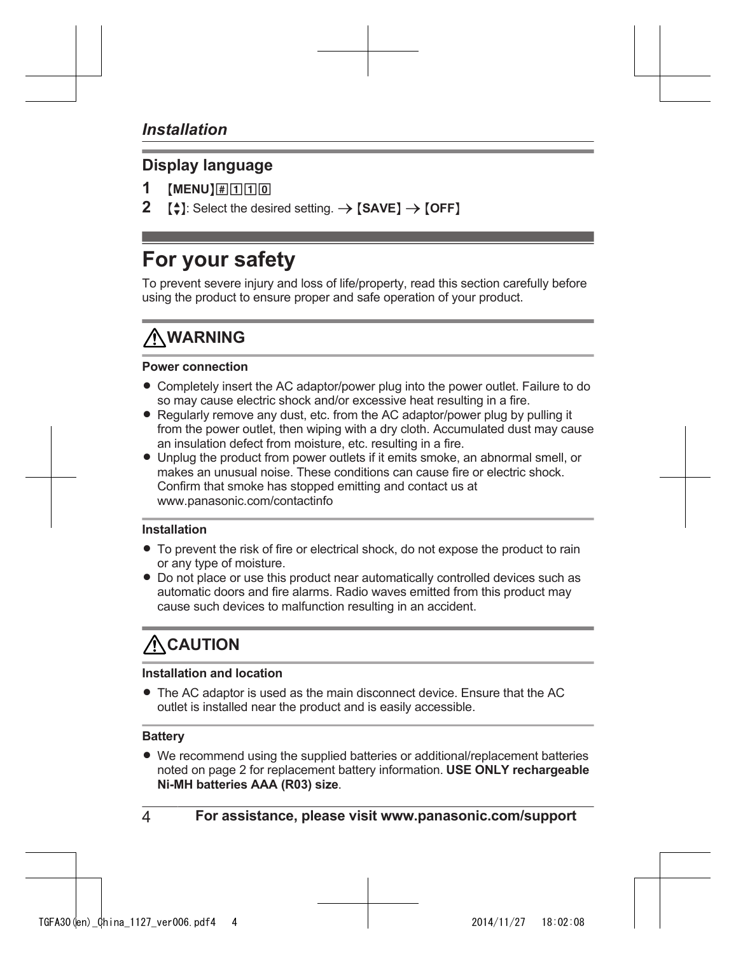### **Display language**

- $[MENU][\#|\Pi|\Pi|0]$
- $\left[\frac{1}{n}\right]$ : Select the desired setting.  $\rightarrow$  **[SAVE]**  $\rightarrow$  **[OFF]**

## **For your safety**

To prevent severe injury and loss of life/property, read this section carefully before using the product to ensure proper and safe operation of your product.

## **WARNING**

#### **Power connection**

- Completely insert the AC adaptor/power plug into the power outlet. Failure to do so may cause electric shock and/or excessive heat resulting in a fire.
- Regularly remove any dust, etc. from the AC adaptor/power plug by pulling it from the power outlet, then wiping with a dry cloth. Accumulated dust may cause an insulation defect from moisture, etc. resulting in a fire.
- Unplug the product from power outlets if it emits smoke, an abnormal smell, or makes an unusual noise. These conditions can cause fire or electric shock. Confirm that smoke has stopped emitting and contact us at www.panasonic.com/contactinfo

#### **Installation**

- $\bullet$  To prevent the risk of fire or electrical shock, do not expose the product to rain or any type of moisture.
- Do not place or use this product near automatically controlled devices such as automatic doors and fire alarms. Radio waves emitted from this product may cause such devices to malfunction resulting in an accident.

## $\Lambda$  CAUTION

#### **Installation and location**

• The AC adaptor is used as the main disconnect device. Ensure that the AC outlet is installed near the product and is easily accessible.

#### **Battery**

• We recommend using the supplied batteries or additional/replacement batteries noted on [page 2](#page-1-4) for replacement battery information. **USE ONLY rechargeable Ni-MH batteries AAA (R03) size**.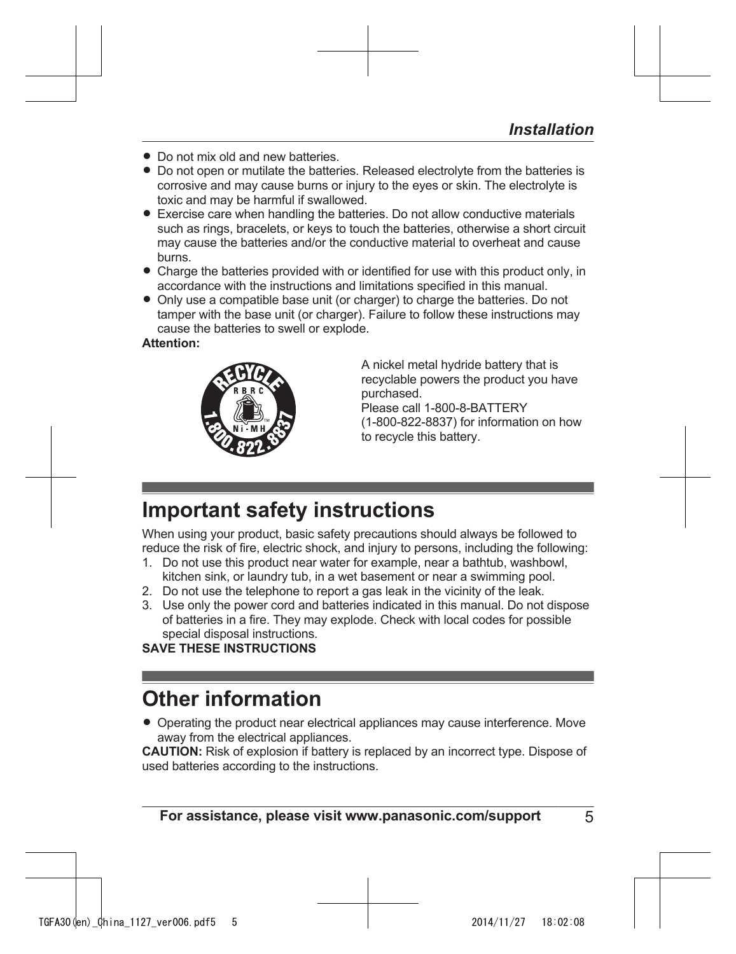- **Do not mix old and new batteries**
- Do not open or mutilate the batteries. Released electrolyte from the batteries is corrosive and may cause burns or injury to the eyes or skin. The electrolyte is toxic and may be harmful if swallowed.
- Exercise care when handling the batteries. Do not allow conductive materials such as rings, bracelets, or keys to touch the batteries, otherwise a short circuit may cause the batteries and/or the conductive material to overheat and cause burns.
- Charge the batteries provided with or identified for use with this product only, in accordance with the instructions and limitations specified in this manual.
- Only use a compatible base unit (or charger) to charge the batteries. Do not tamper with the base unit (or charger). Failure to follow these instructions may cause the batteries to swell or explode.

### **Attention:**



A nickel metal hydride battery that is recyclable powers the product you have purchased. Please call 1-800-8-BATTERY (1-800-822-8837) for information on how to recycle this battery.

## **Important safety instructions**

When using your product, basic safety precautions should always be followed to reduce the risk of fire, electric shock, and injury to persons, including the following:

- 1. Do not use this product near water for example, near a bathtub, washbowl, kitchen sink, or laundry tub, in a wet basement or near a swimming pool.
- 2. Do not use the telephone to report a gas leak in the vicinity of the leak.
- 3. Use only the power cord and batteries indicated in this manual. Do not dispose of batteries in a fire. They may explode. Check with local codes for possible special disposal instructions.

**SAVE THESE INSTRUCTIONS**

## **Other information**

• Operating the product near electrical appliances may cause interference. Move away from the electrical appliances.

**CAUTION:** Risk of explosion if battery is replaced by an incorrect type. Dispose of used batteries according to the instructions.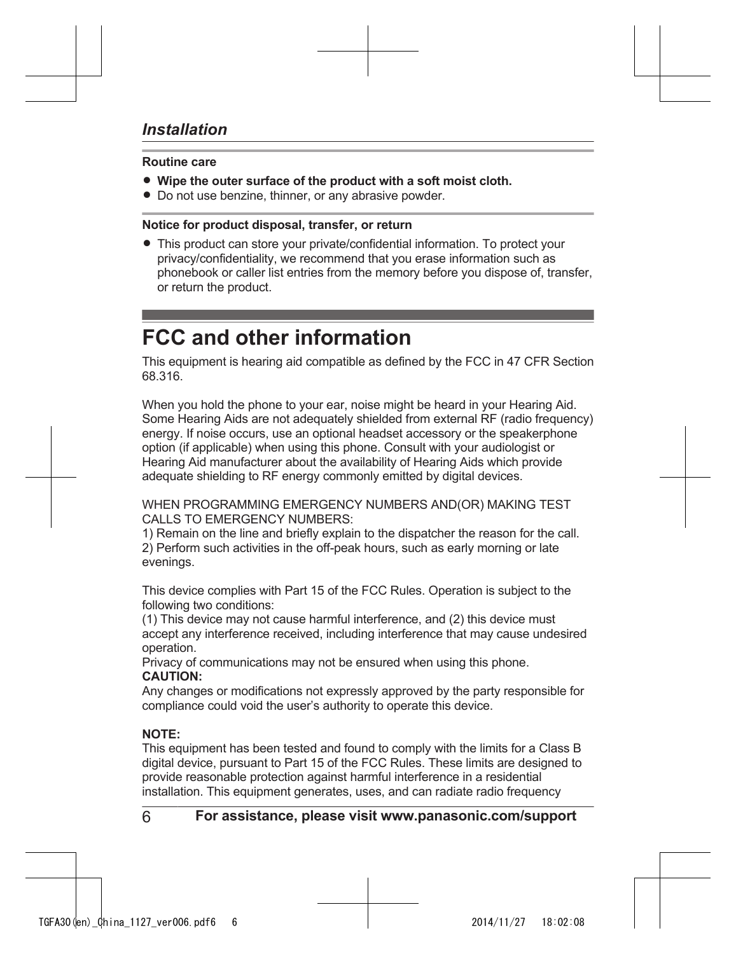#### **Routine care**

- **Wipe the outer surface of the product with a soft moist cloth.**
- Do not use benzine, thinner, or any abrasive powder.

#### **Notice for product disposal, transfer, or return**

• This product can store your private/confidential information. To protect your privacy/confidentiality, we recommend that you erase information such as phonebook or caller list entries from the memory before you dispose of, transfer, or return the product.

## **FCC and other information**

This equipment is hearing aid compatible as defined by the FCC in 47 CFR Section 68.316.

When you hold the phone to your ear, noise might be heard in your Hearing Aid. Some Hearing Aids are not adequately shielded from external RF (radio frequency) energy. If noise occurs, use an optional headset accessory or the speakerphone option (if applicable) when using this phone. Consult with your audiologist or Hearing Aid manufacturer about the availability of Hearing Aids which provide adequate shielding to RF energy commonly emitted by digital devices.

WHEN PROGRAMMING EMERGENCY NUMBERS AND(OR) MAKING TEST CALLS TO EMERGENCY NUMBERS:

1) Remain on the line and briefly explain to the dispatcher the reason for the call. 2) Perform such activities in the off-peak hours, such as early morning or late evenings.

This device complies with Part 15 of the FCC Rules. Operation is subject to the following two conditions:

(1) This device may not cause harmful interference, and (2) this device must accept any interference received, including interference that may cause undesired operation.

Privacy of communications may not be ensured when using this phone. **CAUTION:**

Any changes or modifications not expressly approved by the party responsible for compliance could void the user's authority to operate this device.

#### **NOTE:**

This equipment has been tested and found to comply with the limits for a Class B digital device, pursuant to Part 15 of the FCC Rules. These limits are designed to provide reasonable protection against harmful interference in a residential installation. This equipment generates, uses, and can radiate radio frequency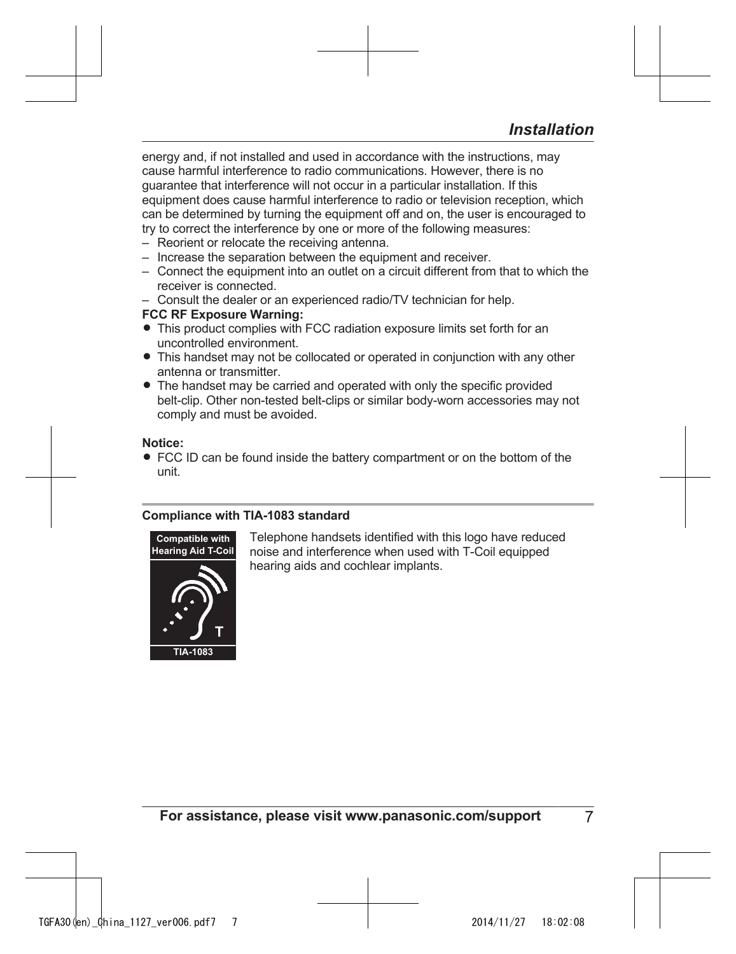energy and, if not installed and used in accordance with the instructions, may cause harmful interference to radio communications. However, there is no guarantee that interference will not occur in a particular installation. If this equipment does cause harmful interference to radio or television reception, which can be determined by turning the equipment off and on, the user is encouraged to try to correct the interference by one or more of the following measures:

- Reorient or relocate the receiving antenna.
- Increase the separation between the equipment and receiver.
- Connect the equipment into an outlet on a circuit different from that to which the receiver is connected.
- Consult the dealer or an experienced radio/TV technician for help.

#### **FCC RF Exposure Warning:**

- This product complies with FCC radiation exposure limits set forth for an uncontrolled environment.
- This handset may not be collocated or operated in conjunction with any other antenna or transmitter.
- The handset may be carried and operated with only the specific provided belt-clip. Other non-tested belt-clips or similar body-worn accessories may not comply and must be avoided.

#### **Notice:**

• FCC ID can be found inside the battery compartment or on the bottom of the unit.

#### **Compliance with TIA-1083 standard**



Telephone handsets identified with this logo have reduced noise and interference when used with T-Coil equipped hearing aids and cochlear implants.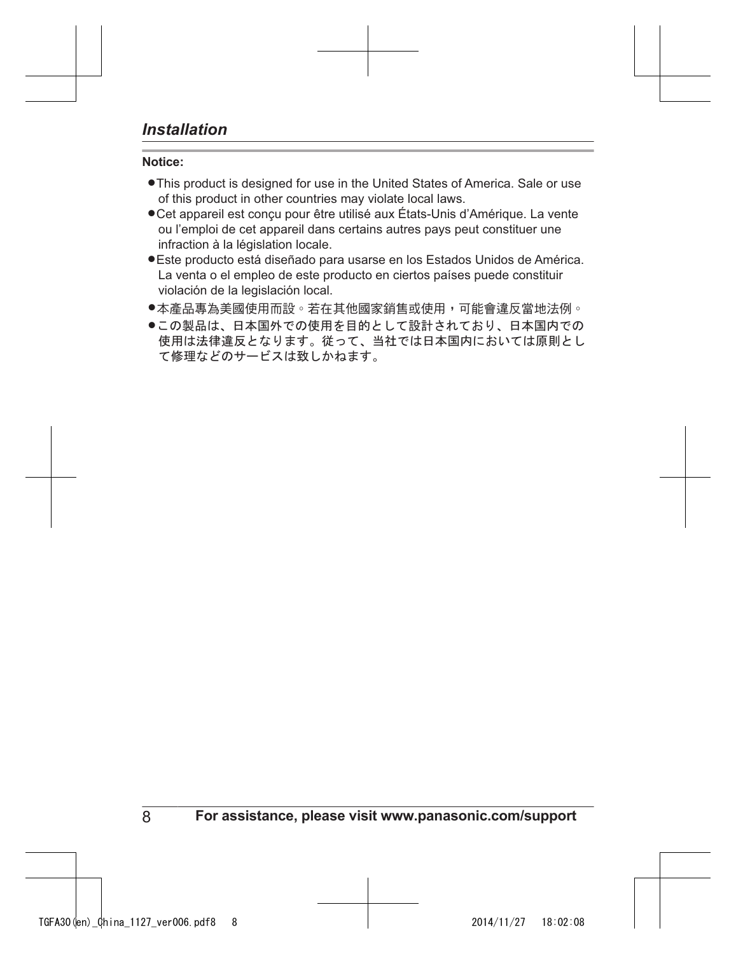#### **Notice:**

- $\bullet$  This product is designed for use in the United States of America. Sale or use of this product in other countries may violate local laws.
- Cet appareil est conçu pour être utilisé aux États-Unis d'Amérique. La vente ou l'emploi de cet appareil dans certains autres pays peut constituer une infraction à la législation locale.
- LEste producto está diseñado para usarse en los Estados Unidos de América. La venta o el empleo de este producto en ciertos países puede constituir violación de la legislación local.
- ●本產品專為美國使用而設。若在其他國家銷售或使用,可能會違反當地法例。
- ●この製品は、日本国外での使用を目的として設計されており、日本国内での 使用は法律違反となります。従って、当社では日本国内においては原則とし て修理などのサービスは致しかねます。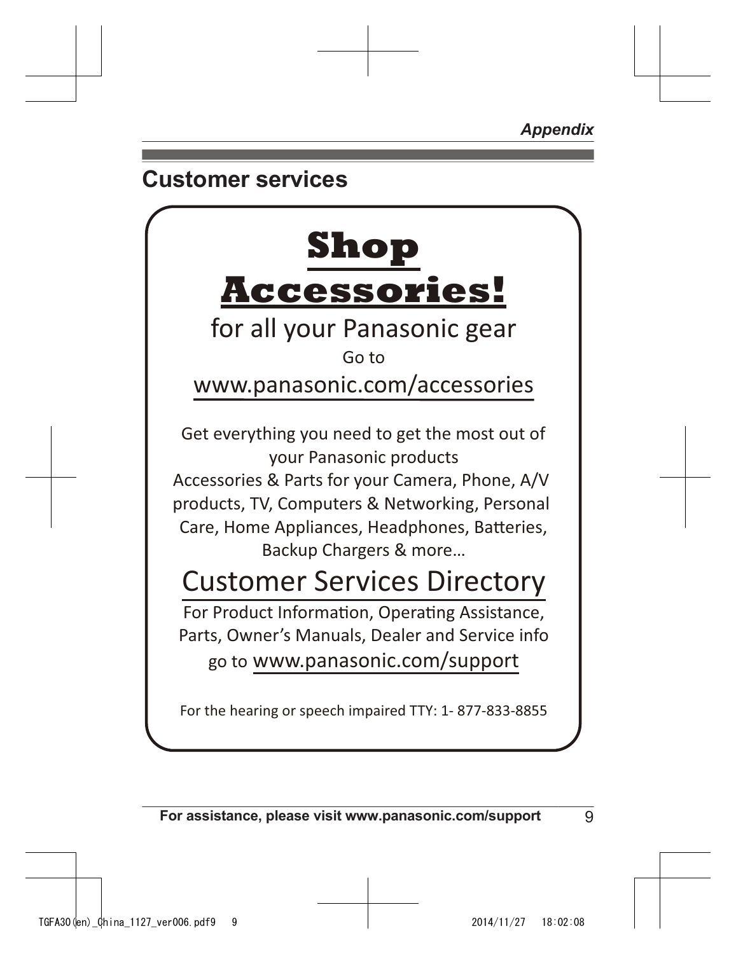*Appendix*

## **Customer services**

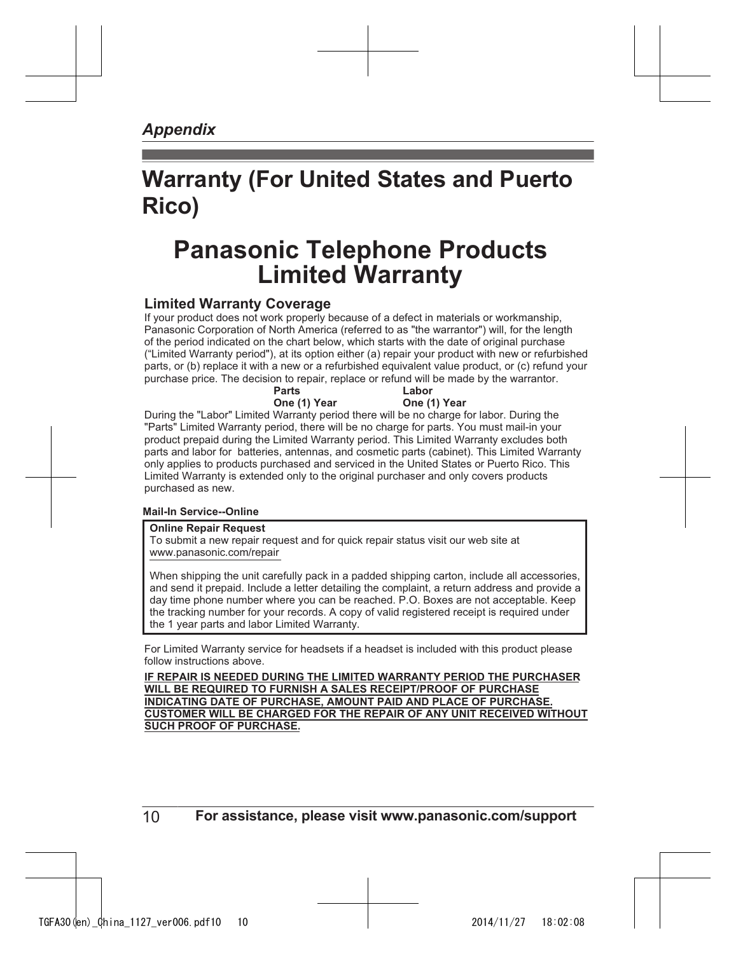#### *Appendix*

## **Warranty (For United States and Puerto Rico)**

## **Panasonic Telephone Products Limited Warranty**

#### **Limited Warranty Coverage**

If your product does not work properly because of a defect in materials or workmanship, Panasonic Corporation of North America (referred to as "the warrantor") will, for the length of the period indicated on the chart below, which starts with the date of original purchase ("Limited Warranty period"), at its option either (a) repair your product with new or refurbished parts, or (b) replace it with a new or a refurbished equivalent value product, or (c) refund your purchase price. The decision to repair, replace or refund will be made by the warrantor.

|                   | Parts        | Labor                                                                                                                                                                                                                                                                                                                                                                                                                                                                     |  |
|-------------------|--------------|---------------------------------------------------------------------------------------------------------------------------------------------------------------------------------------------------------------------------------------------------------------------------------------------------------------------------------------------------------------------------------------------------------------------------------------------------------------------------|--|
|                   | One (1) Year | One (1) Year                                                                                                                                                                                                                                                                                                                                                                                                                                                              |  |
|                   |              | During the "Labor" Limited Warranty period there will be no charge for labor. During the                                                                                                                                                                                                                                                                                                                                                                                  |  |
|                   |              | "Parts" Limited Warranty period, there will be no charge for parts. You must mail-in your<br>product prepaid during the Limited Warranty period. This Limited Warranty excludes both<br>parts and labor for batteries, antennas, and cosmetic parts (cabinet). This Limited Warranty<br>only applies to products purchased and serviced in the United States or Puerto Rico. This<br>Limited Warranty is extended only to the original purchaser and only covers products |  |
| purchased as new. |              |                                                                                                                                                                                                                                                                                                                                                                                                                                                                           |  |

#### **Mail-In Service--Online**

#### **Online Repair Request**

To submit a new repair request and for quick repair status visit our web site at www.panasonic.com/repair

When shipping the unit carefully pack in a padded shipping carton, include all accessories, and send it prepaid. Include a letter detailing the complaint, a return address and provide a day time phone number where you can be reached. P.O. Boxes are not acceptable. Keep the tracking number for your records. A copy of valid registered receipt is required under the 1 year parts and labor Limited Warranty.

For Limited Warranty service for headsets if a headset is included with this product please follow instructions above.

**IF REPAIR IS NEEDED DURING THE LIMITED WARRANTY PERIOD THE PURCHASER WILL BE REQUIRED TO FURNISH A SALES RECEIPT/PROOF OF PURCHASE INDICATING DATE OF PURCHASE, AMOUNT PAID AND PLACE OF PURCHASE. CUSTOMER WILL BE CHARGED FOR THE REPAIR OF ANY UNIT RECEIVED WITHOUT SUCH PROOF OF PURCHASE.**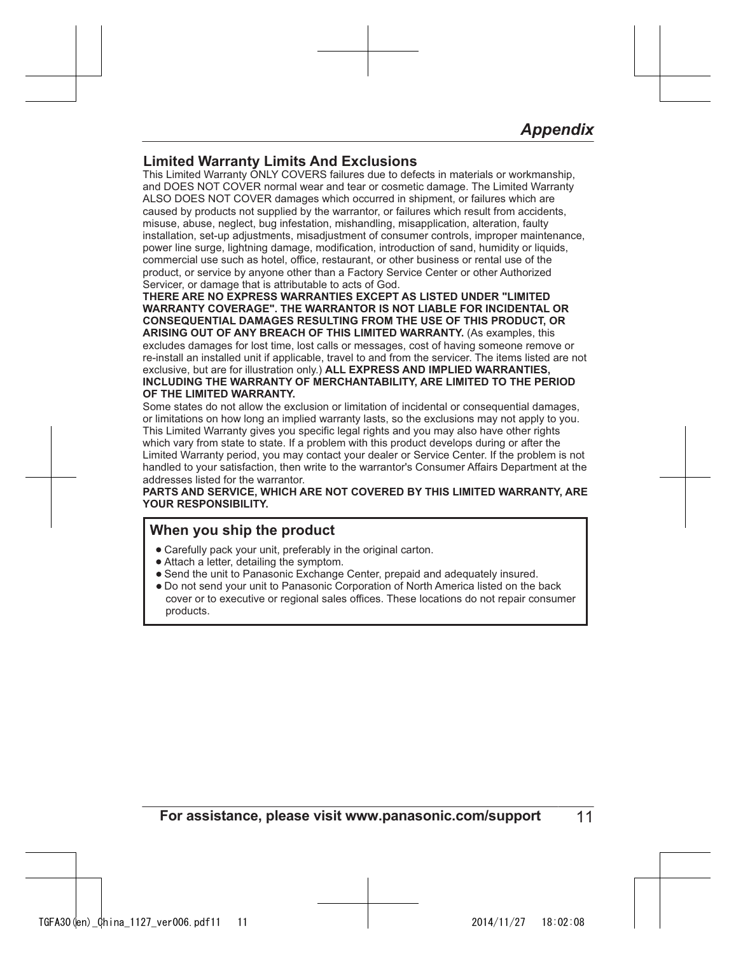#### **Limited Warranty Limits And Exclusions**

This Limited Warranty ONLY COVERS failures due to defects in materials or workmanship, and DOES NOT COVER normal wear and tear or cosmetic damage. The Limited Warranty ALSO DOES NOT COVER damages which occurred in shipment, or failures which are caused by products not supplied by the warrantor, or failures which result from accidents, misuse, abuse, neglect, bug infestation, mishandling, misapplication, alteration, faulty installation, set-up adjustments, misadjustment of consumer controls, improper maintenance, power line surge, lightning damage, modification, introduction of sand, humidity or liquids, commercial use such as hotel, office, restaurant, or other business or rental use of the product, or service by anyone other than a Factory Service Center or other Authorized Servicer, or damage that is attributable to acts of God.

**THERE ARE NO EXPRESS WARRANTIES EXCEPT AS LISTED UNDER "LIMITED WARRANTY COVERAGE". THE WARRANTOR IS NOT LIABLE FOR INCIDENTAL OR CONSEQUENTIAL DAMAGES RESULTING FROM THE USE OF THIS PRODUCT, OR ARISING OUT OF ANY BREACH OF THIS LIMITED WARRANTY.** (As examples, this excludes damages for lost time, lost calls or messages, cost of having someone remove or re-install an installed unit if applicable, travel to and from the servicer. The items listed are not exclusive, but are for illustration only.) **ALL EXPRESS AND IMPLIED WARRANTIES, INCLUDING THE WARRANTY OF MERCHANTABILITY, ARE LIMITED TO THE PERIOD OF THE LIMITED WARRANTY.**

Some states do not allow the exclusion or limitation of incidental or consequential damages, or limitations on how long an implied warranty lasts, so the exclusions may not apply to you. This Limited Warranty gives you specific legal rights and you may also have other rights which vary from state to state. If a problem with this product develops during or after the Limited Warranty period, you may contact your dealer or Service Center. If the problem is not handled to your satisfaction, then write to the warrantor's Consumer Affairs Department at the addresses listed for the warrantor.

**PARTS AND SERVICE, WHICH ARE NOT COVERED BY THIS LIMITED WARRANTY, ARE YOUR RESPONSIBILITY.**

#### **When you ship the product**

- ȷCarefully pack your unit, preferably in the original carton.
- $\bullet$  Attach a letter, detailing the symptom.
- Send the unit to Panasonic Exchange Center, prepaid and adequately insured.
- ȷDo not send your unit to Panasonic Corporation of North America listed on the back cover or to executive or regional sales offices. These locations do not repair consumer products.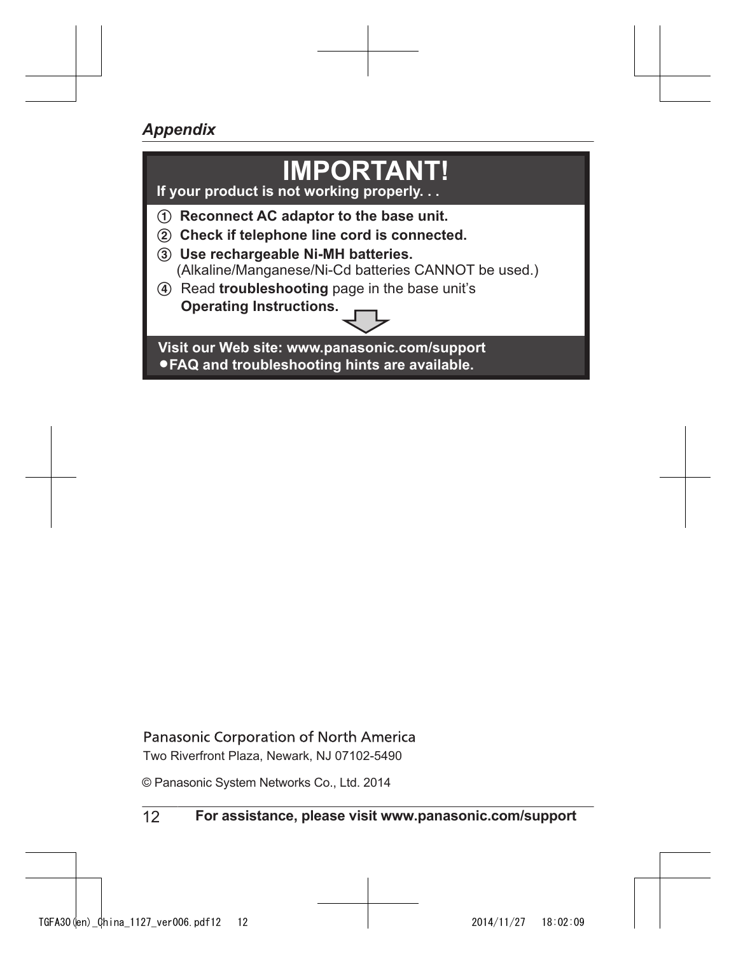## *Appendix*

## **IMPORTANT!**

If your product is not working properly.

- 1 **Reconnect AC adaptor to the base unit.**
- 2 **Check if telephone line cord is connected.**
- 3 **Use rechargeable Ni-MH batteries.**
	- (Alkaline/Manganese/Ni-Cd batteries CANNOT be used.)
- 4 Read **troubleshooting** page in the base unit's **Operating Instructions.**

**Visit our Web site: www.panasonic.com/support** L**FAQ and troubleshooting hints are available.**

Panasonic Corporation of North America

Two Riverfront Plaza, Newark, NJ 07102-5490

© Panasonic System Networks Co., Ltd. 2014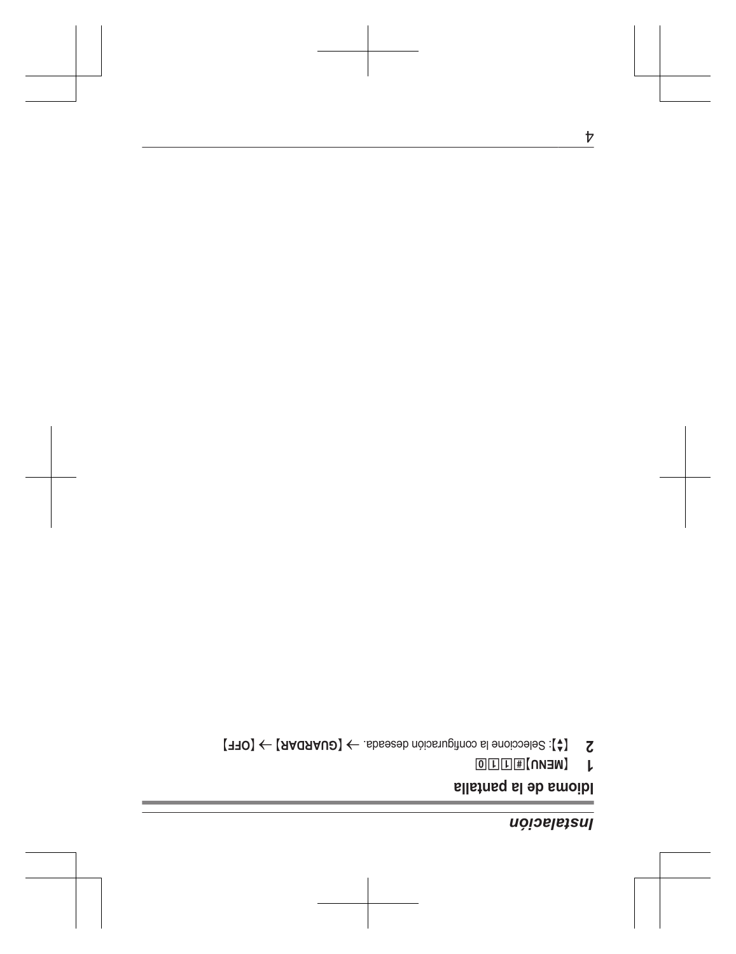## *uojoelesul*

## Idioma de la pantalla

- $\sqrt{1 \left(\text{NEM}\right)^2 + \left(\text{NEM}\right)^2}$
- 2  $\zeta$  [ $\zeta$ ]: Seleccione la configuración deseada.  $\rightarrow$  [GUARDAR]  $\rightarrow$  [OFF]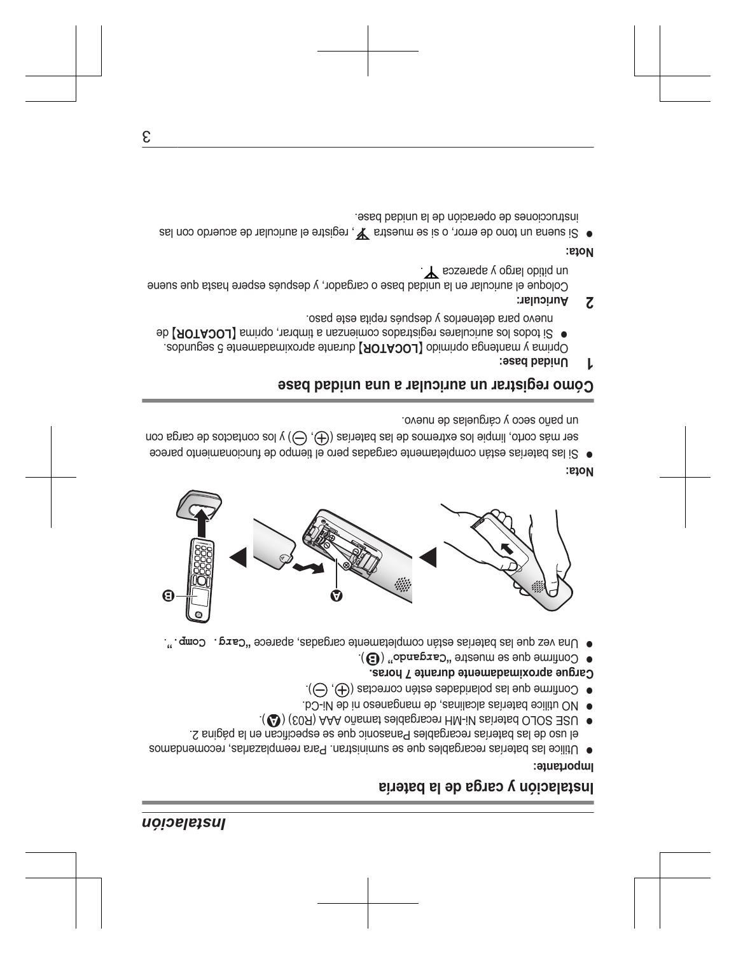### Instalación

## Instalación y carga de la batería

#### lmportante:

- el uso de las baterías recargables Panasonic que se especifican en la página 2. ● Utilice las baterías recargables que se suministian. Para reemplazalas, recomendamos
- . (1S08) AAA oñamst eeldsgraper HM-iV sa'netsd OJOS 32U .
- . NO utilice baterias alcalinas, de manganeso ni de Ni-Cd.
- $\cdot$  ( $\ominus$ ), estoernoo netee estén correctas ( $\ominus$ ).
- Cargue aproximadamente durante 7 horas.
- $\mathcal{L}(\mathbf{G})$  "obnspred" entergance" (C).
- · Una vez que las baterías están completamente cargadas, aparece "carg. Comp.".



#### :etoV

oveun eb zeleugnelas de nuevo. ser más corto, limpie los extremos de las baterías ((t), (c) y los contactos de carga con • Si las batrias están completamente cargadas pero el tiempo de funcionamiento parece

### Cómo registrar un auricular a una unidad base

Unidad base: L

nuevo para detenerlos y después repita este paso. ● Si todos los auriculares registrados comienzan a timbrar, oprima [LOCATOR] de . approach o binnido (LOCADR) durante aproximadamente 5 segundos.

Auricular:  $\overline{c}$ 

. The sose and a copiel obitiq nu Coloque el auricular en la unidad base o cargador, y después espere hasta que suene

#### :etoM

esed babinu sl eb noios eqo eb zenoioou tran ● Si suena un tono de error, o si se muestra  $\mathbf{y}$ , registre el auricular de acuerdo con las

ε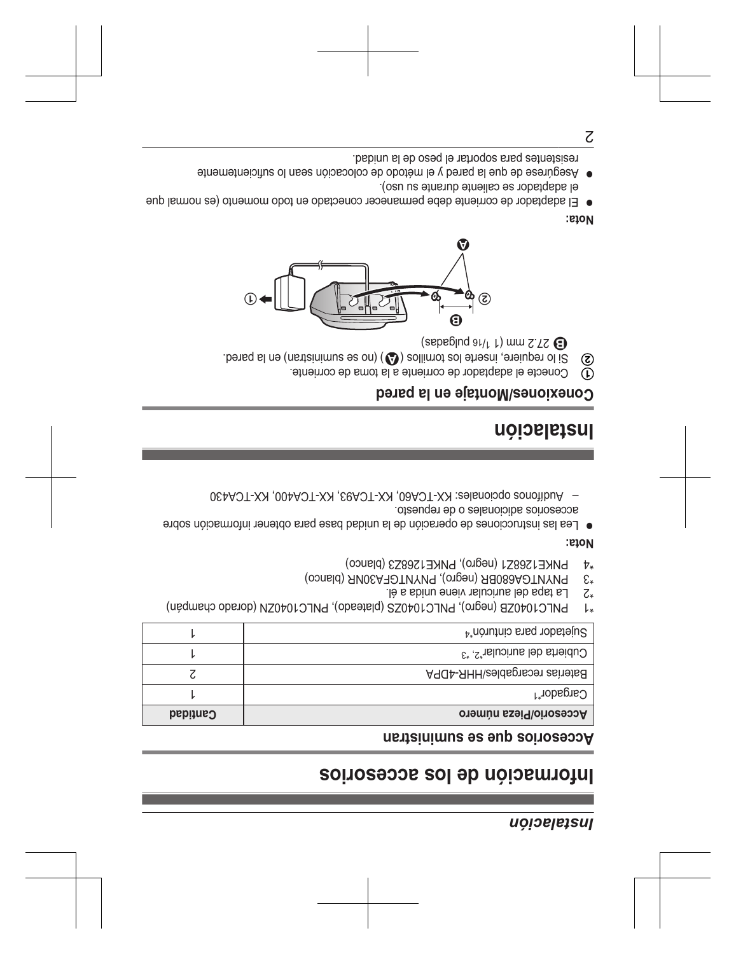### <span id="page-14-0"></span>Instalación

## Poino and approved accesorios

#### Accesorios que se suministran

| Cantidad | Oresorio/Pieza número                                  |
|----------|--------------------------------------------------------|
|          | $C$ argador $^{\uparrow}$                              |
|          | Baterías recargables/HHR-4DPA                          |
|          | $C$ ubierta del auricular <sup>2</sup> . <sup>*3</sup> |
|          | Sujetador para cinturón <sup>*4</sup>                  |

PNLC1040ZB (negro), PNLC1040ZS (plateado), PNLC1040ZN (dorado champán)  $\downarrow$ 

- La tapa del auricular viene unida a él.  $\zeta_*$
- PNYNTGA680BR (negro), PNYNTGFA30NR (blanco)  $\epsilon_{*}$
- PNKE1268Z1 (negro), PNKE1268Z3 (blanco)  $t^*$

#### <span id="page-14-4"></span><span id="page-14-3"></span><span id="page-14-2"></span><span id="page-14-1"></span>:etoM

- otesorios adicionales o de repuesto. ● Lea las instrucciones de operación de la unidad base para obtener información sobre
- Audifonos opcionales: KX-TCA00, KX-TCA93, KX-TCA400, KX-TCA430

## Instalación

### Conexiones/Montaje en la pared

- Conecte el adaptador de corriente a la toma de corriente.  $\mathbb{D}$
- Si lo requiere, inserte los tomillos (4) (no se suministran) en la pared. ඹ

 $\left(\text{sepebind} \right)$   $\text{au}$   $\text{cm} \left(\text{cm} \right)$ 



### :etoM

- el adaptador se caliente durante su uso). ● El adaptador de corriente debe permanecer conectado en todo momento (es normal que
- · Asegúrese de que la pared y el método de colocación sean lo suficientemente

tesistentes para soportar el peso de la unidad.

 $\overline{c}$